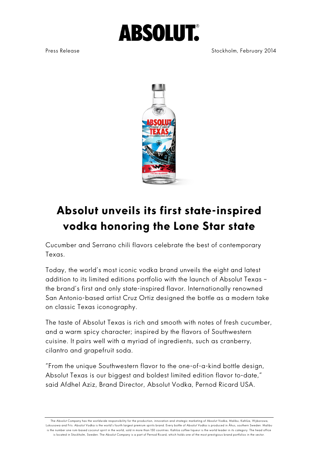# **ABSOLUT.**

Press Release **Stockholm**, February 2014



## **Absolut unveils its first state-inspired vodka honoring the Lone Star state**

Cucumber and Serrano chili flavors celebrate the best of contemporary Texas.

Today, the world's most iconic vodka brand unveils the eight and latest addition to its limited editions portfolio with the launch of Absolut Texas – the brand's first and only state-inspired flavor. Internationally renowned San Antonio-based artist Cruz Ortiz designed the bottle as a modern take on classic Texas iconography.

The taste of Absolut Texas is rich and smooth with notes of fresh cucumber, and a warm spicy character; inspired by the flavors of Southwestern cuisine. It pairs well with a myriad of ingredients, such as cranberry, cilantro and grapefruit soda.

"From the unique Southwestern flavor to the one-of-a-kind bottle design, Absolut Texas is our biggest and boldest limited edition flavor to-date," said Afdhel Aziz, Brand Director, Absolut Vodka, Pernod Ricard USA.

The Absolut Company has the worldwide responsibility for the production, innovation and strategic marketing of Absolut Vodka, Malibu, Kahlúa, Wyborowa, Luksusowa and Frïs. Absolut Vodka is the world's fourth largest premium spirits brand. Every bottle of Absolut Vodka is produced in Åhus, southern Sweden. Malibu is the number one rum-based coconut spirit in the world, sold in more than 150 countries. Kahlúa coffee liqueur is the world leader in its category. The head office is located in Stockholm, Sweden. The Absolut Company is a part of Pernod Ricard, which holds one of the most prestigious brand portfolios in the sector.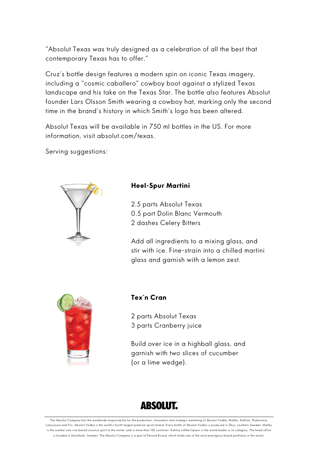"Absolut Texas was truly designed as a celebration of all the best that contemporary Texas has to offer."

Cruz's bottle design features a modern spin on iconic Texas imagery, including a "cosmic caballero" cowboy boot against a stylized Texas landscape and his take on the Texas Star. The bottle also features Absolut founder Lars Olsson Smith wearing a cowboy hat, marking only the second time in the brand's history in which Smith's logo has been altered.

Absolut Texas will be available in 750 ml bottles in the US. For more information, visit absolut.com/texas.

Serving suggestions:



#### **Heel-Spur Martini**

2.5 parts Absolut Texas 0.5 part Dolin Blanc Vermouth 2 dashes Celery Bitters

Add all ingredients to a mixing glass, and stir with ice. Fine-strain into a chilled martini glass and garnish with a lemon zest.



#### **Tex´n Cran**

2 parts Absolut Texas 3 parts Cranberry juice

Build over ice in a highball glass, and garnish with two slices of cucumber (or a lime wedge).

### **ABSOLUT.**

The Absolut Company has the worldwide responsibility for the production, innovation and strategic marketing of Absolut Vodka, Malibu, Kahlúa, Wyborowa, Luksusowa and Frïs. Absolut Vodka is the world's fourth largest premium spirits brand. Every bottle of Absolut Vodka is produced in Åhus, southern Sweden. Malibu is the number one rum-based coconut spirit in the world, sold in more than 150 countries. Kahlúa coffee liqueur is the world leader in its category. The head office is located in Stockholm, Sweden. The Absolut Company is a part of Pernod Ricard, which holds one of the most prestigious brand portfolios in the sector.